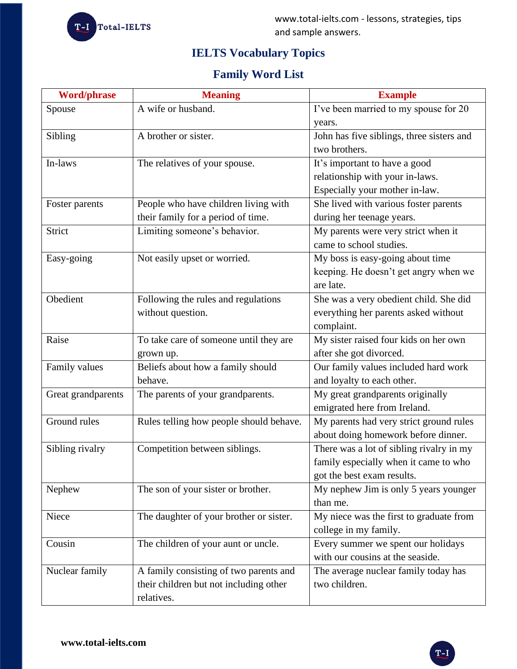

# **IELTS Vocabulary Topics**

## **Family Word List**

| <b>Word/phrase</b> | <b>Meaning</b>                          | <b>Example</b>                            |
|--------------------|-----------------------------------------|-------------------------------------------|
| Spouse             | A wife or husband.                      | I've been married to my spouse for 20     |
|                    |                                         | years.                                    |
| Sibling            | A brother or sister.                    | John has five siblings, three sisters and |
|                    |                                         | two brothers.                             |
| In-laws            | The relatives of your spouse.           | It's important to have a good             |
|                    |                                         | relationship with your in-laws.           |
|                    |                                         | Especially your mother in-law.            |
| Foster parents     | People who have children living with    | She lived with various foster parents     |
|                    | their family for a period of time.      | during her teenage years.                 |
| Strict             | Limiting someone's behavior.            | My parents were very strict when it       |
|                    |                                         | came to school studies.                   |
| Easy-going         | Not easily upset or worried.            | My boss is easy-going about time          |
|                    |                                         | keeping. He doesn't get angry when we     |
|                    |                                         | are late.                                 |
| Obedient           | Following the rules and regulations     | She was a very obedient child. She did    |
|                    | without question.                       | everything her parents asked without      |
|                    |                                         | complaint.                                |
| Raise              | To take care of someone until they are  | My sister raised four kids on her own     |
|                    | grown up.                               | after she got divorced.                   |
| Family values      | Beliefs about how a family should       | Our family values included hard work      |
|                    | behave.                                 | and loyalty to each other.                |
| Great grandparents | The parents of your grandparents.       | My great grandparents originally          |
|                    |                                         | emigrated here from Ireland.              |
| Ground rules       | Rules telling how people should behave. | My parents had very strict ground rules   |
|                    |                                         | about doing homework before dinner.       |
| Sibling rivalry    | Competition between siblings.           | There was a lot of sibling rivalry in my  |
|                    |                                         | family especially when it came to who     |
|                    |                                         | got the best exam results.                |
| Nephew             | The son of your sister or brother.      | My nephew Jim is only 5 years younger     |
|                    |                                         | than me.                                  |
| Niece              | The daughter of your brother or sister. | My niece was the first to graduate from   |
|                    |                                         | college in my family.                     |
| Cousin             | The children of your aunt or uncle.     | Every summer we spent our holidays        |
|                    |                                         | with our cousins at the seaside.          |
| Nuclear family     | A family consisting of two parents and  | The average nuclear family today has      |
|                    | their children but not including other  | two children.                             |
|                    | relatives.                              |                                           |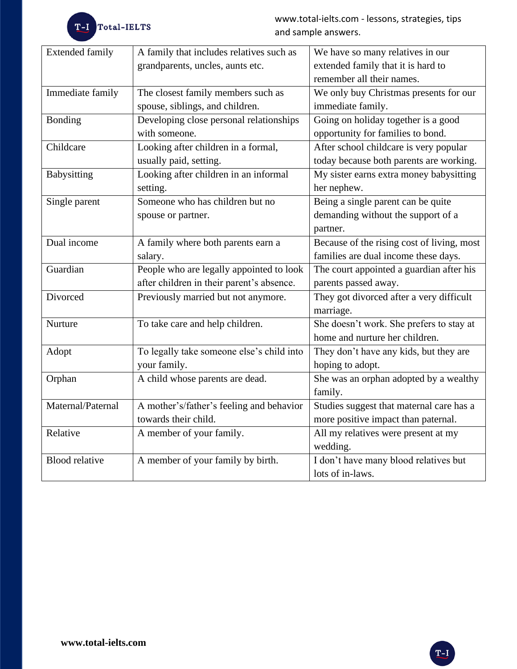| <b>Extended family</b> | A family that includes relatives such as  | We have so many relatives in our           |
|------------------------|-------------------------------------------|--------------------------------------------|
|                        | grandparents, uncles, aunts etc.          | extended family that it is hard to         |
|                        |                                           | remember all their names.                  |
| Immediate family       | The closest family members such as        | We only buy Christmas presents for our     |
|                        | spouse, siblings, and children.           | immediate family.                          |
| <b>Bonding</b>         | Developing close personal relationships   | Going on holiday together is a good        |
|                        | with someone.                             | opportunity for families to bond.          |
| Childcare              | Looking after children in a formal,       | After school childcare is very popular     |
|                        | usually paid, setting.                    | today because both parents are working.    |
| <b>Babysitting</b>     | Looking after children in an informal     | My sister earns extra money babysitting    |
|                        | setting.                                  | her nephew.                                |
| Single parent          | Someone who has children but no           | Being a single parent can be quite         |
|                        | spouse or partner.                        | demanding without the support of a         |
|                        |                                           | partner.                                   |
| Dual income            | A family where both parents earn a        | Because of the rising cost of living, most |
|                        | salary.                                   | families are dual income these days.       |
| Guardian               | People who are legally appointed to look  | The court appointed a guardian after his   |
|                        | after children in their parent's absence. | parents passed away.                       |
| Divorced               | Previously married but not anymore.       | They got divorced after a very difficult   |
|                        |                                           | marriage.                                  |
| Nurture                | To take care and help children.           | She doesn't work. She prefers to stay at   |
|                        |                                           | home and nurture her children.             |
| Adopt                  | To legally take someone else's child into | They don't have any kids, but they are     |
|                        | your family.                              | hoping to adopt.                           |
| Orphan                 | A child whose parents are dead.           | She was an orphan adopted by a wealthy     |
|                        |                                           | family.                                    |
| Maternal/Paternal      | A mother's/father's feeling and behavior  | Studies suggest that maternal care has a   |
|                        | towards their child.                      | more positive impact than paternal.        |
| Relative               | A member of your family.                  | All my relatives were present at my        |
|                        |                                           | wedding.                                   |
| <b>Blood relative</b>  | A member of your family by birth.         | I don't have many blood relatives but      |
|                        |                                           | lots of in-laws.                           |